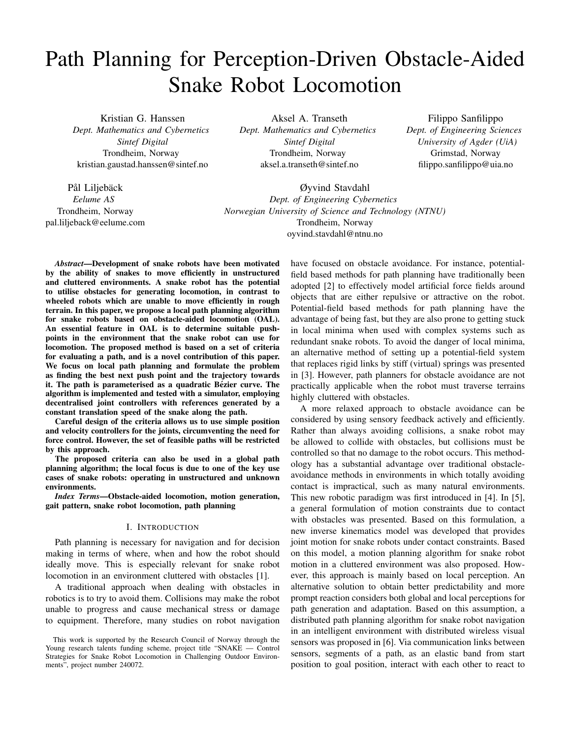# Path Planning for Perception-Driven Obstacle-Aided Snake Robot Locomotion

Kristian G. Hanssen *Dept. Mathematics and Cybernetics Sintef Digital* Trondheim, Norway kristian.gaustad.hanssen@sintef.no

Pål Liljebäck *Eelume AS* Trondheim, Norway pal.liljeback@eelume.com

Aksel A. Transeth *Dept. Mathematics and Cybernetics Sintef Digital* Trondheim, Norway aksel.a.transeth@sintef.no

Filippo Sanfilippo *Dept. of Engineering Sciences University of Agder (UiA)* Grimstad, Norway filippo.sanfilippo@uia.no

Øyvind Stavdahl *Dept. of Engineering Cybernetics Norwegian University of Science and Technology (NTNU)* Trondheim, Norway oyvind.stavdahl@ntnu.no

*Abstract*—Development of snake robots have been motivated by the ability of snakes to move efficiently in unstructured and cluttered environments. A snake robot has the potential to utilise obstacles for generating locomotion, in contrast to wheeled robots which are unable to move efficiently in rough terrain. In this paper, we propose a local path planning algorithm for snake robots based on obstacle-aided locomotion (OAL). An essential feature in OAL is to determine suitable pushpoints in the environment that the snake robot can use for locomotion. The proposed method is based on a set of criteria for evaluating a path, and is a novel contribution of this paper. We focus on local path planning and formulate the problem as finding the best next push point and the trajectory towards it. The path is parameterised as a quadratic Bézier curve. The algorithm is implemented and tested with a simulator, employing decentralised joint controllers with references generated by a constant translation speed of the snake along the path.

Careful design of the criteria allows us to use simple position and velocity controllers for the joints, circumventing the need for force control. However, the set of feasible paths will be restricted by this approach.

The proposed criteria can also be used in a global path planning algorithm; the local focus is due to one of the key use cases of snake robots: operating in unstructured and unknown environments.

*Index Terms*—Obstacle-aided locomotion, motion generation, gait pattern, snake robot locomotion, path planning

#### I. INTRODUCTION

Path planning is necessary for navigation and for decision making in terms of where, when and how the robot should ideally move. This is especially relevant for snake robot locomotion in an environment cluttered with obstacles [1].

A traditional approach when dealing with obstacles in robotics is to try to avoid them. Collisions may make the robot unable to progress and cause mechanical stress or damage to equipment. Therefore, many studies on robot navigation

have focused on obstacle avoidance. For instance, potentialfield based methods for path planning have traditionally been adopted [2] to effectively model artificial force fields around objects that are either repulsive or attractive on the robot. Potential-field based methods for path planning have the advantage of being fast, but they are also prone to getting stuck in local minima when used with complex systems such as redundant snake robots. To avoid the danger of local minima, an alternative method of setting up a potential-field system that replaces rigid links by stiff (virtual) springs was presented in [3]. However, path planners for obstacle avoidance are not practically applicable when the robot must traverse terrains highly cluttered with obstacles.

A more relaxed approach to obstacle avoidance can be considered by using sensory feedback actively and efficiently. Rather than always avoiding collisions, a snake robot may be allowed to collide with obstacles, but collisions must be controlled so that no damage to the robot occurs. This methodology has a substantial advantage over traditional obstacleavoidance methods in environments in which totally avoiding contact is impractical, such as many natural environments. This new robotic paradigm was first introduced in [4]. In [5], a general formulation of motion constraints due to contact with obstacles was presented. Based on this formulation, a new inverse kinematics model was developed that provides joint motion for snake robots under contact constraints. Based on this model, a motion planning algorithm for snake robot motion in a cluttered environment was also proposed. However, this approach is mainly based on local perception. An alternative solution to obtain better predictability and more prompt reaction considers both global and local perceptions for path generation and adaptation. Based on this assumption, a distributed path planning algorithm for snake robot navigation in an intelligent environment with distributed wireless visual sensors was proposed in [6]. Via communication links between sensors, segments of a path, as an elastic band from start position to goal position, interact with each other to react to

This work is supported by the Research Council of Norway through the Young research talents funding scheme, project title "SNAKE - Control Strategies for Snake Robot Locomotion in Challenging Outdoor Environments", project number 240072.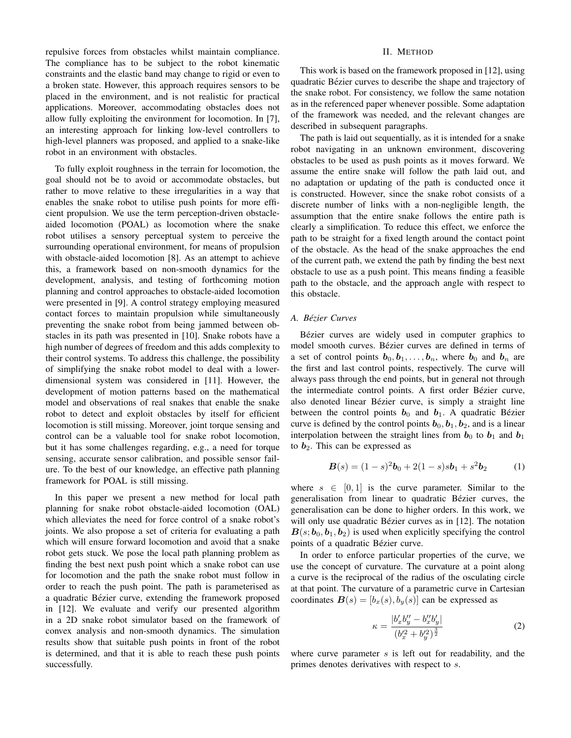repulsive forces from obstacles whilst maintain compliance. The compliance has to be subject to the robot kinematic constraints and the elastic band may change to rigid or even to a broken state. However, this approach requires sensors to be placed in the environment, and is not realistic for practical applications. Moreover, accommodating obstacles does not allow fully exploiting the environment for locomotion. In [7], an interesting approach for linking low-level controllers to high-level planners was proposed, and applied to a snake-like robot in an environment with obstacles.

To fully exploit roughness in the terrain for locomotion, the goal should not be to avoid or accommodate obstacles, but rather to move relative to these irregularities in a way that enables the snake robot to utilise push points for more efficient propulsion. We use the term perception-driven obstacleaided locomotion (POAL) as locomotion where the snake robot utilises a sensory perceptual system to perceive the surrounding operational environment, for means of propulsion with obstacle-aided locomotion [8]. As an attempt to achieve this, a framework based on non-smooth dynamics for the development, analysis, and testing of forthcoming motion planning and control approaches to obstacle-aided locomotion were presented in [9]. A control strategy employing measured contact forces to maintain propulsion while simultaneously preventing the snake robot from being jammed between obstacles in its path was presented in [10]. Snake robots have a high number of degrees of freedom and this adds complexity to their control systems. To address this challenge, the possibility of simplifying the snake robot model to deal with a lowerdimensional system was considered in [11]. However, the development of motion patterns based on the mathematical model and observations of real snakes that enable the snake robot to detect and exploit obstacles by itself for efficient locomotion is still missing. Moreover, joint torque sensing and control can be a valuable tool for snake robot locomotion, but it has some challenges regarding, e.g., a need for torque sensing, accurate sensor calibration, and possible sensor failure. To the best of our knowledge, an effective path planning framework for POAL is still missing.

In this paper we present a new method for local path planning for snake robot obstacle-aided locomotion (OAL) which alleviates the need for force control of a snake robot's joints. We also propose a set of criteria for evaluating a path which will ensure forward locomotion and avoid that a snake robot gets stuck. We pose the local path planning problem as finding the best next push point which a snake robot can use for locomotion and the path the snake robot must follow in order to reach the push point. The path is parameterised as a quadratic Bézier curve, extending the framework proposed in [12]. We evaluate and verify our presented algorithm in a 2D snake robot simulator based on the framework of convex analysis and non-smooth dynamics. The simulation results show that suitable push points in front of the robot is determined, and that it is able to reach these push points successfully.

### II. METHOD

This work is based on the framework proposed in [12], using quadratic Bézier curves to describe the shape and trajectory of the snake robot. For consistency, we follow the same notation as in the referenced paper whenever possible. Some adaptation of the framework was needed, and the relevant changes are described in subsequent paragraphs.

The path is laid out sequentially, as it is intended for a snake robot navigating in an unknown environment, discovering obstacles to be used as push points as it moves forward. We assume the entire snake will follow the path laid out, and no adaptation or updating of the path is conducted once it is constructed. However, since the snake robot consists of a discrete number of links with a non-negligible length, the assumption that the entire snake follows the entire path is clearly a simplification. To reduce this effect, we enforce the path to be straight for a fixed length around the contact point of the obstacle. As the head of the snake approaches the end of the current path, we extend the path by finding the best next obstacle to use as a push point. This means finding a feasible path to the obstacle, and the approach angle with respect to this obstacle.

### *A. Bezier Curves ´*

Bézier curves are widely used in computer graphics to model smooth curves. Bézier curves are defined in terms of a set of control points  $b_0, b_1, \ldots, b_n$ , where  $b_0$  and  $b_n$  are the first and last control points, respectively. The curve will always pass through the end points, but in general not through the intermediate control points. A first order Bézier curve, also denoted linear Bézier curve, is simply a straight line between the control points  $b_0$  and  $b_1$ . A quadratic Bézier curve is defined by the control points  $\mathbf{b}_0$ ,  $\mathbf{b}_1$ ,  $\mathbf{b}_2$ , and is a linear interpolation between the straight lines from  $b_0$  to  $b_1$  and  $b_1$ to  $b_2$ . This can be expressed as

$$
\boldsymbol{B}(s) = (1-s)^2 \boldsymbol{b}_0 + 2(1-s)s \boldsymbol{b}_1 + s^2 \boldsymbol{b}_2 \tag{1}
$$

where  $s \in [0, 1]$  is the curve parameter. Similar to the generalisation from linear to quadratic Bézier curves, the generalisation can be done to higher orders. In this work, we will only use quadratic Bézier curves as in [12]. The notation  $B(s; b_0, b_1, b_2)$  is used when explicitly specifying the control points of a quadratic Bézier curve.

In order to enforce particular properties of the curve, we use the concept of curvature. The curvature at a point along a curve is the reciprocal of the radius of the osculating circle at that point. The curvature of a parametric curve in Cartesian coordinates  $B(s) = [b_x(s), b_y(s)]$  can be expressed as

$$
\kappa = \frac{|b_x'b_y'' - b_x''b_y'|}{(b_x'^2 + b_y'^2)^{\frac{3}{2}}}
$$
\n(2)

where curve parameter  $s$  is left out for readability, and the primes denotes derivatives with respect to s.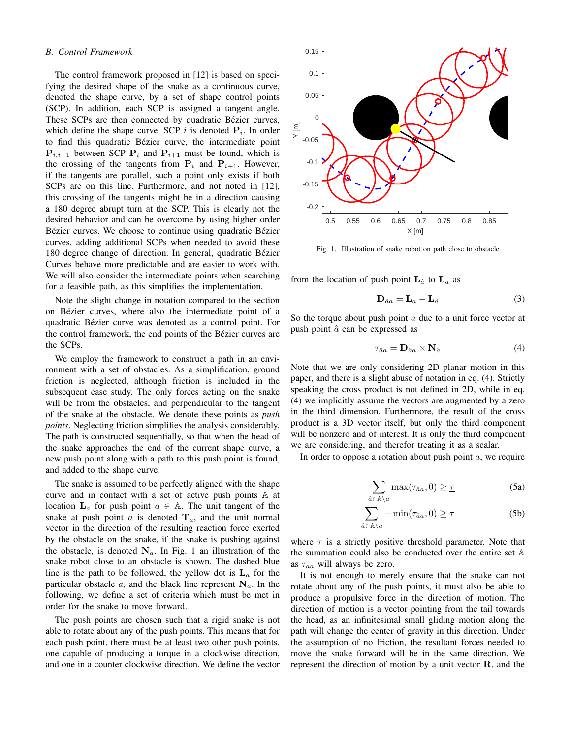#### *B. Control Framework*

The control framework proposed in [12] is based on specifying the desired shape of the snake as a continuous curve, denoted the shape curve, by a set of shape control points (SCP). In addition, each SCP is assigned a tangent angle. These SCPs are then connected by quadratic Bézier curves, which define the shape curve. SCP  $i$  is denoted  $P_i$ . In order to find this quadratic Bézier curve, the intermediate point  ${\bf P}_{i,i+1}$  between SCP  ${\bf P}_i$  and  ${\bf P}_{i+1}$  must be found, which is the crossing of the tangents from  $P_i$  and  $P_{i+1}$ . However, if the tangents are parallel, such a point only exists if both SCPs are on this line. Furthermore, and not noted in [12], this crossing of the tangents might be in a direction causing a 180 degree abrupt turn at the SCP. This is clearly not the desired behavior and can be overcome by using higher order Bézier curves. We choose to continue using quadratic Bézier curves, adding additional SCPs when needed to avoid these 180 degree change of direction. In general, quadratic Bézier Curves behave more predictable and are easier to work with. We will also consider the intermediate points when searching for a feasible path, as this simplifies the implementation.

Note the slight change in notation compared to the section on Bézier curves, where also the intermediate point of a quadratic Bézier curve was denoted as a control point. For the control framework, the end points of the Bézier curves are the SCPs.

We employ the framework to construct a path in an environment with a set of obstacles. As a simplification, ground friction is neglected, although friction is included in the subsequent case study. The only forces acting on the snake will be from the obstacles, and perpendicular to the tangent of the snake at the obstacle. We denote these points as *push points*. Neglecting friction simplifies the analysis considerably. The path is constructed sequentially, so that when the head of the snake approaches the end of the current shape curve, a new push point along with a path to this push point is found, and added to the shape curve.

The snake is assumed to be perfectly aligned with the shape curve and in contact with a set of active push points A at location  $L_a$  for push point  $a \in A$ . The unit tangent of the snake at push point  $a$  is denoted  $\mathbf{T}_a$ , and the unit normal vector in the direction of the resulting reaction force exerted by the obstacle on the snake, if the snake is pushing against the obstacle, is denoted  $N_a$ . In Fig. 1 an illustration of the snake robot close to an obstacle is shown. The dashed blue line is the path to be followed, the yellow dot is  $L_a$  for the particular obstacle  $a$ , and the black line represent  $N_a$ . In the following, we define a set of criteria which must be met in order for the snake to move forward.

The push points are chosen such that a rigid snake is not able to rotate about any of the push points. This means that for each push point, there must be at least two other push points, one capable of producing a torque in a clockwise direction, and one in a counter clockwise direction. We define the vector



Fig. 1. Illustration of snake robot on path close to obstacle

from the location of push point  $L_{\hat{a}}$  to  $L_a$  as

$$
\mathbf{D}_{\hat{a}a} = \mathbf{L}_a - \mathbf{L}_{\hat{a}} \tag{3}
$$

So the torque about push point  $a$  due to a unit force vector at push point  $\hat{a}$  can be expressed as

$$
\tau_{\hat{a}a} = \mathbf{D}_{\hat{a}a} \times \mathbf{N}_{\hat{a}} \tag{4}
$$

Note that we are only considering 2D planar motion in this paper, and there is a slight abuse of notation in eq. (4). Strictly speaking the cross product is not defined in 2D, while in eq. (4) we implicitly assume the vectors are augmented by a zero in the third dimension. Furthermore, the result of the cross product is a 3D vector itself, but only the third component will be nonzero and of interest. It is only the third component we are considering, and therefor treating it as a scalar.

In order to oppose a rotation about push point  $a$ , we require

$$
\sum_{\hat{a}\in\mathbb{A}\setminus a} \max(\tau_{\hat{a}a}, 0) \geq \underline{\tau} \tag{5a}
$$

$$
\sum_{\hat{a}\in\mathbb{A}\setminus a} -\min(\tau_{\hat{a}a},0) \geq \underline{\tau} \tag{5b}
$$

where  $\tau$  is a strictly positive threshold parameter. Note that the summation could also be conducted over the entire set A as  $\tau_{aa}$  will always be zero.

It is not enough to merely ensure that the snake can not rotate about any of the push points, it must also be able to produce a propulsive force in the direction of motion. The direction of motion is a vector pointing from the tail towards the head, as an infinitesimal small gliding motion along the path will change the center of gravity in this direction. Under the assumption of no friction, the resultant forces needed to move the snake forward will be in the same direction. We represent the direction of motion by a unit vector R, and the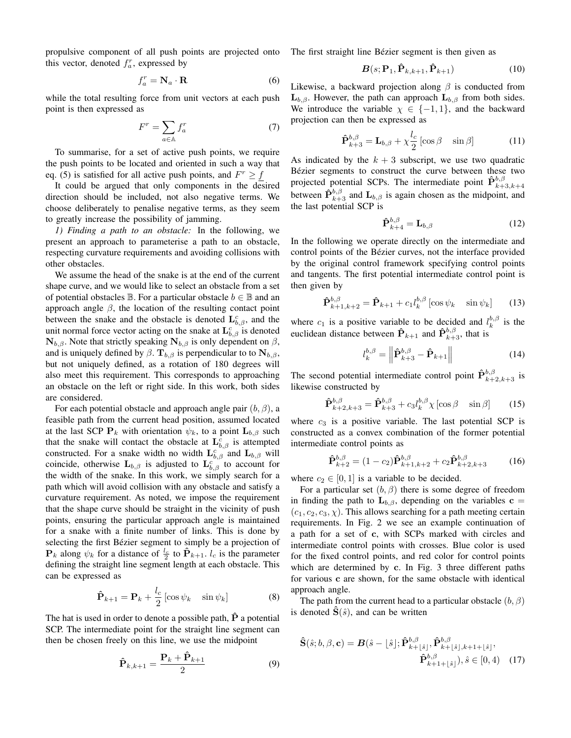propulsive component of all push points are projected onto this vector, denoted  $f_a^r$ , expressed by

$$
f_a^r = \mathbf{N}_a \cdot \mathbf{R} \tag{6}
$$

while the total resulting force from unit vectors at each push point is then expressed as

$$
F^r = \sum_{a \in \mathbb{A}} f_a^r \tag{7}
$$

To summarise, for a set of active push points, we require the push points to be located and oriented in such a way that eq. (5) is satisfied for all active push points, and  $F^r \geq f$ 

It could be argued that only components in the desired direction should be included, not also negative terms. We choose deliberately to penalise negative terms, as they seem to greatly increase the possibility of jamming.

*1) Finding a path to an obstacle:* In the following, we present an approach to parameterise a path to an obstacle, respecting curvature requirements and avoiding collisions with other obstacles.

We assume the head of the snake is at the end of the current shape curve, and we would like to select an obstacle from a set of potential obstacles  $\mathbb B$ . For a particular obstacle  $b \in \mathbb B$  and an approach angle β, the location of the resulting contact point between the snake and the obstacle is denoted  $\mathbf{L}_{b,\beta}^c$ , and the unit normal force vector acting on the snake at  $\mathbf{L}_{b,\beta}^c$  is denoted  $\mathbf{N}_{b,\beta}$ . Note that strictly speaking  $\mathbf{N}_{b,\beta}$  is only dependent on  $\beta$ , and is uniquely defined by  $\beta$ .  $\mathbf{T}_{b,\beta}$  is perpendicular to to  $\mathbf{N}_{b,\beta}$ , but not uniquely defined, as a rotation of 180 degrees will also meet this requirement. This corresponds to approaching an obstacle on the left or right side. In this work, both sides are considered.

For each potential obstacle and approach angle pair  $(b, \beta)$ , a feasible path from the current head position, assumed located at the last SCP  $P_k$  with orientation  $\psi_k$ , to a point  $L_{b,\beta}$  such that the snake will contact the obstacle at  $\mathbf{L}_{b,\beta}^c$  is attempted constructed. For a snake width no width  $\mathbf{L}_{b,\beta}^c$  and  $\mathbf{L}_{b,\beta}$  will coincide, otherwise  $\mathbf{L}_{b,\beta}$  is adjusted to  $\mathbf{L}_{b,\beta}^{c}$  to account for the width of the snake. In this work, we simply search for a path which will avoid collision with any obstacle and satisfy a curvature requirement. As noted, we impose the requirement that the shape curve should be straight in the vicinity of push points, ensuring the particular approach angle is maintained for a snake with a finite number of links. This is done by selecting the first Bézier segment to simply be a projection of  $\mathbf{P}_k$  along  $\psi_k$  for a distance of  $\frac{l_c}{2}$  to  $\hat{\mathbf{P}}_{k+1}$ .  $l_c$  is the parameter defining the straight line segment length at each obstacle. This can be expressed as

$$
\hat{\mathbf{P}}_{k+1} = \mathbf{P}_k + \frac{l_c}{2} \left[ \cos \psi_k \quad \sin \psi_k \right] \tag{8}
$$

The hat is used in order to denote a possible path,  $\dot{P}$  a potential SCP. The intermediate point for the straight line segment can then be chosen freely on this line, we use the midpoint

$$
\hat{\mathbf{P}}_{k,k+1} = \frac{\mathbf{P}_k + \hat{\mathbf{P}}_{k+1}}{2} \tag{9}
$$

The first straight line Bézier segment is then given as

$$
\boldsymbol{B}(s; \mathbf{P}_1, \hat{\mathbf{P}}_{k,k+1}, \hat{\mathbf{P}}_{k+1})
$$
\n(10)

Likewise, a backward projection along  $\beta$  is conducted from  $\mathbf{L}_{b,\beta}$ . However, the path can approach  $\mathbf{L}_{b,\beta}$  from both sides. We introduce the variable  $\chi \in \{-1,1\}$ , and the backward projection can then be expressed as

$$
\hat{\mathbf{P}}_{k+3}^{b,\beta} = \mathbf{L}_{b,\beta} + \chi \frac{l_c}{2} \left[ \cos \beta \quad \sin \beta \right] \tag{11}
$$

As indicated by the  $k + 3$  subscript, we use two quadratic Bézier segments to construct the curve between these two projected potential SCPs. The intermediate point  $\hat{\mathbf{P}}_{k+3,k+4}^{b,\beta}$ between  $\hat{P}_{k+3}^{b,\beta}$  and  $L_{b,\beta}$  is again chosen as the midpoint, and the last potential SCP is

$$
\hat{\mathbf{P}}_{k+4}^{b,\beta} = \mathbf{L}_{b,\beta} \tag{12}
$$

In the following we operate directly on the intermediate and control points of the Bézier curves, not the interface provided by the original control framework specifying control points and tangents. The first potential intermediate control point is then given by

$$
\hat{\mathbf{P}}_{k+1,k+2}^{b,\beta} = \hat{\mathbf{P}}_{k+1} + c_1 l_k^{b,\beta} \left[ \cos \psi_k \quad \sin \psi_k \right] \tag{13}
$$

where  $c_1$  is a positive variable to be decided and  $l_k^{b,\beta}$  is the euclidean distance between  $\hat{P}_{k+1}$  and  $\hat{P}_{k+3}^{b,\beta}$ , that is

$$
l_k^{b,\beta} = \left\| \hat{\mathbf{P}}_{k+3}^{b,\beta} - \hat{\mathbf{P}}_{k+1} \right\| \tag{14}
$$

The second potential intermediate control point  $\hat{\mathbf{P}}_{k+2,k+3}^{b,\beta}$  is likewise constructed by

$$
\hat{\mathbf{P}}_{k+2,k+3}^{b,\beta} = \hat{\mathbf{P}}_{k+3}^{b,\beta} + c_3 l_k^{b,\beta} \chi \left[ \cos \beta - \sin \beta \right] \tag{15}
$$

where  $c_3$  is a positive variable. The last potential SCP is constructed as a convex combination of the former potential intermediate control points as

$$
\hat{\mathbf{P}}_{k+2}^{b,\beta} = (1 - c_2) \hat{\mathbf{P}}_{k+1,k+2}^{b,\beta} + c_2 \hat{\mathbf{P}}_{k+2,k+3}^{b,\beta} \tag{16}
$$

where  $c_2 \in [0, 1]$  is a variable to be decided.

For a particular set  $(b, \beta)$  there is some degree of freedom in finding the path to  $\mathbf{L}_{b,\beta}$ , depending on the variables  $\mathbf{c} =$  $(c_1, c_2, c_3, \chi)$ . This allows searching for a path meeting certain requirements. In Fig. 2 we see an example continuation of a path for a set of c, with SCPs marked with circles and intermediate control points with crosses. Blue color is used for the fixed control points, and red color for control points which are determined by c. In Fig. 3 three different paths for various c are shown, for the same obstacle with identical approach angle.

The path from the current head to a particular obstacle  $(b, \beta)$ is denoted  $\hat{\mathbf{S}}(\hat{s})$ , and can be written

$$
\hat{\mathbf{S}}(\hat{s};b,\beta,\mathbf{c}) = \mathbf{B}(\hat{s} - \lfloor \hat{s} \rfloor; \hat{\mathbf{P}}_{k+\lfloor \hat{s} \rfloor}^{b,\beta}, \hat{\mathbf{P}}_{k+\lfloor \hat{s} \rfloor,k+1+\lfloor \hat{s} \rfloor}^{b,\beta},
$$

$$
\hat{\mathbf{P}}_{k+1+\lfloor \hat{s} \rfloor}^{b,\beta}), \hat{s} \in [0,4)
$$
 (17)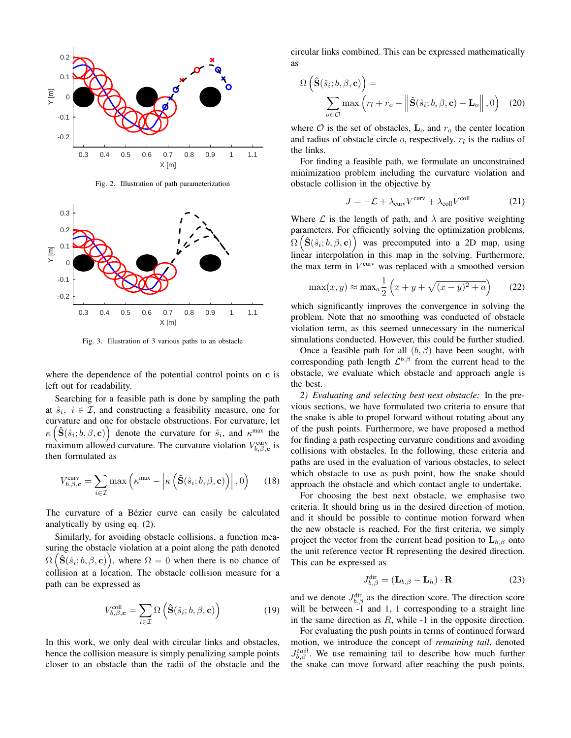

Fig. 2. Illustration of path parameterization



Fig. 3. Illustration of 3 various paths to an obstacle

where the dependence of the potential control points on c is left out for readability.

Searching for a feasible path is done by sampling the path at  $\hat{s}_i$ ,  $i \in \mathcal{I}$ , and constructing a feasibility measure, one for curvature and one for obstacle obstructions. For curvature, let  $\kappa\left(\hat{\mathbf{S}}(\hat{s}_i; b, \beta, \mathbf{c})\right)$  denote the curvature for  $\hat{s}_i$ , and  $\kappa^{\max}$  the maximum allowed curvature. The curvature violation  $V_{b,\beta,c}^{\text{curv}}$  is then formulated as

$$
V_{b,\beta,\mathbf{c}}^{\text{curv}} = \sum_{i\in\mathcal{I}} \max\left(\kappa^{\max} - \left|\kappa\left(\hat{\mathbf{S}}(\hat{s}_i; b, \beta, \mathbf{c})\right)\right|, 0\right) \quad (18)
$$

The curvature of a Bézier curve can easily be calculated analytically by using eq. (2).

Similarly, for avoiding obstacle collisions, a function measuring the obstacle violation at a point along the path denoted  $\Omega\left(\hat{\mathbf{S}}(\hat{s}_i; b, \beta, \mathbf{c})\right)$ , where  $\Omega = 0$  when there is no chance of collision at a location. The obstacle collision measure for a path can be expressed as

$$
V_{b,\beta,\mathbf{c}}^{\text{coll}} = \sum_{i \in \mathcal{I}} \Omega \left( \hat{\mathbf{S}}(\hat{s}_i; b, \beta, \mathbf{c}) \right) \tag{19}
$$

In this work, we only deal with circular links and obstacles, hence the collision measure is simply penalizing sample points closer to an obstacle than the radii of the obstacle and the circular links combined. This can be expressed mathematically as

$$
\Omega\left(\hat{\mathbf{S}}(\hat{s}_i; b, \beta, \mathbf{c})\right) = \sum_{o \in \mathcal{O}} \max\left(r_l + r_o - \left\|\hat{\mathbf{S}}(\hat{s}_i; b, \beta, \mathbf{c}) - \mathbf{L}_o\right\|, 0\right) \tag{20}
$$

where  $\mathcal O$  is the set of obstacles,  $\mathbf L_o$  and  $r_o$  the center location and radius of obstacle circle  $o$ , respectively.  $r_l$  is the radius of the links.

For finding a feasible path, we formulate an unconstrained minimization problem including the curvature violation and obstacle collision in the objective by

$$
J = -\mathcal{L} + \lambda_{\text{curv}} V^{\text{curv}} + \lambda_{\text{coll}} V^{\text{coll}} \tag{21}
$$

Where  $\mathcal L$  is the length of path, and  $\lambda$  are positive weighting parameters. For efficiently solving the optimization problems,  $\Omega\left(\hat{\mathbf{S}}(\hat{s}_i; b, \beta, \mathbf{c})\right)$  was precomputed into a 2D map, using linear interpolation in this map in the solving. Furthermore, the max term in  $V^{\text{curv}}$  was replaced with a smoothed version

$$
\max(x, y) \approx \max_{a} \frac{1}{2} \left( x + y + \sqrt{(x - y)^2 + a} \right) \tag{22}
$$

which significantly improves the convergence in solving the problem. Note that no smoothing was conducted of obstacle violation term, as this seemed unnecessary in the numerical simulations conducted. However, this could be further studied.

Once a feasible path for all  $(b, \beta)$  have been sought, with corresponding path length  $\mathcal{L}^{b,\beta}$  from the current head to the obstacle, we evaluate which obstacle and approach angle is the best.

*2) Evaluating and selecting best next obstacle:* In the previous sections, we have formulated two criteria to ensure that the snake is able to propel forward without rotating about any of the push points. Furthermore, we have proposed a method for finding a path respecting curvature conditions and avoiding collisions with obstacles. In the following, these criteria and paths are used in the evaluation of various obstacles, to select which obstacle to use as push point, how the snake should approach the obstacle and which contact angle to undertake.

For choosing the best next obstacle, we emphasise two criteria. It should bring us in the desired direction of motion, and it should be possible to continue motion forward when the new obstacle is reached. For the first criteria, we simply project the vector from the current head position to  $L_{b,\beta}$  onto the unit reference vector R representing the desired direction. This can be expressed as

$$
J_{b,\beta}^{\text{dir}} = (\mathbf{L}_{b,\beta} - \mathbf{L}_h) \cdot \mathbf{R}
$$
 (23)

and we denote  $J_{b,\beta}^{\text{dir}}$  as the direction score. The direction score will be between -1 and 1, 1 corresponding to a straight line in the same direction as  $R$ , while  $-1$  in the opposite direction.

For evaluating the push points in terms of continued forward motion, we introduce the concept of *remaining tail*, denoted  $J_{b,\beta}^{tail}$ . We use remaining tail to describe how much further the snake can move forward after reaching the push points,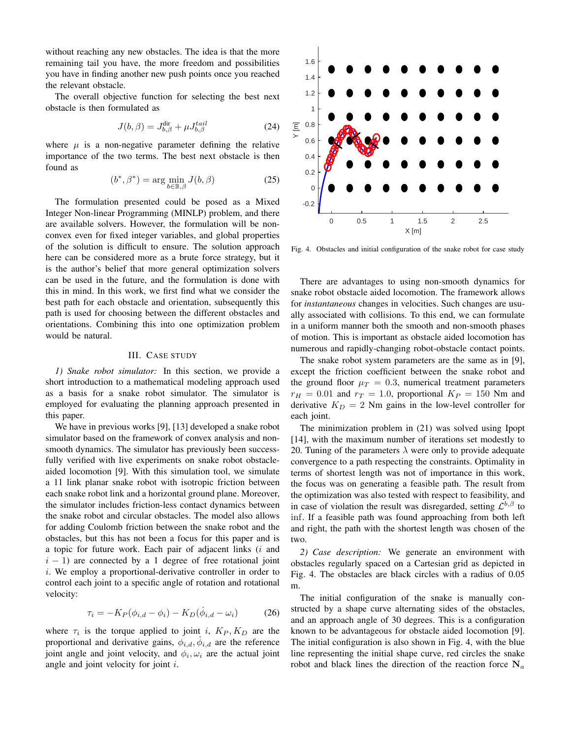without reaching any new obstacles. The idea is that the more remaining tail you have, the more freedom and possibilities you have in finding another new push points once you reached the relevant obstacle.

The overall objective function for selecting the best next obstacle is then formulated as

$$
J(b,\beta) = J_{b,\beta}^{\text{dir}} + \mu J_{b,\beta}^{tail}
$$
 (24)

where  $\mu$  is a non-negative parameter defining the relative importance of the two terms. The best next obstacle is then found as

$$
(b^*, \beta^*) = \arg\min_{b \in \mathbb{B}, \beta} J(b, \beta)
$$
 (25)

The formulation presented could be posed as a Mixed Integer Non-linear Programming (MINLP) problem, and there are available solvers. However, the formulation will be nonconvex even for fixed integer variables, and global properties of the solution is difficult to ensure. The solution approach here can be considered more as a brute force strategy, but it is the author's belief that more general optimization solvers can be used in the future, and the formulation is done with this in mind. In this work, we first find what we consider the best path for each obstacle and orientation, subsequently this path is used for choosing between the different obstacles and orientations. Combining this into one optimization problem would be natural.

## III. CASE STUDY

*1) Snake robot simulator:* In this section, we provide a short introduction to a mathematical modeling approach used as a basis for a snake robot simulator. The simulator is employed for evaluating the planning approach presented in this paper.

We have in previous works [9], [13] developed a snake robot simulator based on the framework of convex analysis and nonsmooth dynamics. The simulator has previously been successfully verified with live experiments on snake robot obstacleaided locomotion [9]. With this simulation tool, we simulate a 11 link planar snake robot with isotropic friction between each snake robot link and a horizontal ground plane. Moreover, the simulator includes friction-less contact dynamics between the snake robot and circular obstacles. The model also allows for adding Coulomb friction between the snake robot and the obstacles, but this has not been a focus for this paper and is a topic for future work. Each pair of adjacent links  $(i \text{ and }$  $i - 1$ ) are connected by a 1 degree of free rotational joint i. We employ a proportional-derivative controller in order to control each joint to a specific angle of rotation and rotational velocity:

$$
\tau_i = -K_P(\phi_{i,d} - \phi_i) - K_D(\dot{\phi}_{i,d} - \omega_i) \tag{26}
$$

where  $\tau_i$  is the torque applied to joint i,  $K_P, K_D$  are the proportional and derivative gains,  $\phi_{i,d}$ ,  $\dot{\phi}_{i,d}$  are the reference joint angle and joint velocity, and  $\phi_i, \omega_i$  are the actual joint angle and joint velocity for joint i.



Fig. 4. Obstacles and initial configuration of the snake robot for case study

There are advantages to using non-smooth dynamics for snake robot obstacle aided locomotion. The framework allows for *instantaneous* changes in velocities. Such changes are usually associated with collisions. To this end, we can formulate in a uniform manner both the smooth and non-smooth phases of motion. This is important as obstacle aided locomotion has numerous and rapidly-changing robot-obstacle contact points.

The snake robot system parameters are the same as in [9], except the friction coefficient between the snake robot and the ground floor  $\mu_T = 0.3$ , numerical treatment parameters  $r_H = 0.01$  and  $r_T = 1.0$ , proportional  $K_P = 150$  Nm and derivative  $K_D = 2$  Nm gains in the low-level controller for each joint.

The minimization problem in (21) was solved using Ipopt [14], with the maximum number of iterations set modestly to 20. Tuning of the parameters  $\lambda$  were only to provide adequate convergence to a path respecting the constraints. Optimality in terms of shortest length was not of importance in this work, the focus was on generating a feasible path. The result from the optimization was also tested with respect to feasibility, and in case of violation the result was disregarded, setting  $\mathcal{L}^{b,\beta}$  to inf. If a feasible path was found approaching from both left and right, the path with the shortest length was chosen of the two.

*2) Case description:* We generate an environment with obstacles regularly spaced on a Cartesian grid as depicted in Fig. 4. The obstacles are black circles with a radius of 0.05 m.

The initial configuration of the snake is manually constructed by a shape curve alternating sides of the obstacles, and an approach angle of 30 degrees. This is a configuration known to be advantageous for obstacle aided locomotion [9]. The initial configuration is also shown in Fig. 4, with the blue line representing the initial shape curve, red circles the snake robot and black lines the direction of the reaction force  $N_a$